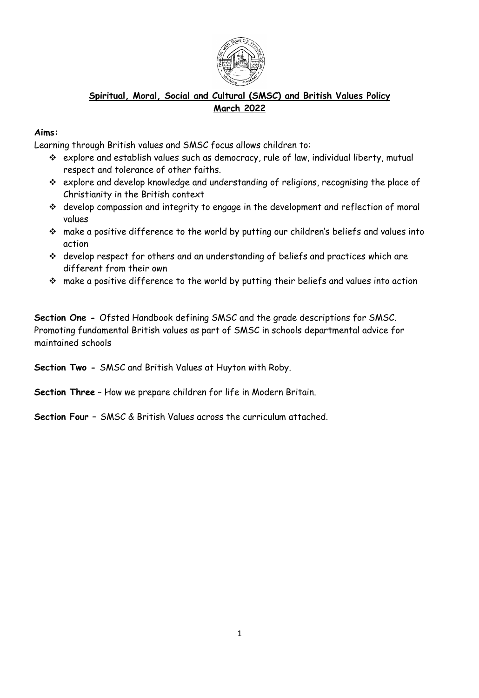

# **Spiritual, Moral, Social and Cultural (SMSC) and British Values Policy March 2022**

# **Aims:**

Learning through British values and SMSC focus allows children to:

- ❖ explore and establish values such as democracy, rule of law, individual liberty, mutual respect and tolerance of other faiths.
- ❖ explore and develop knowledge and understanding of religions, recognising the place of Christianity in the British context
- ❖ develop compassion and integrity to engage in the development and reflection of moral values
- ❖ make a positive difference to the world by putting our children's beliefs and values into action
- ❖ develop respect for others and an understanding of beliefs and practices which are different from their own
- ❖ make a positive difference to the world by putting their beliefs and values into action

**Section One -** Ofsted Handbook defining SMSC and the grade descriptions for SMSC. Promoting fundamental British values as part of SMSC in schools departmental advice for maintained schools

**Section Two -** SMSC and British Values at Huyton with Roby.

**Section Three** – How we prepare children for life in Modern Britain.

**Section Four –** SMSC & British Values across the curriculum attached.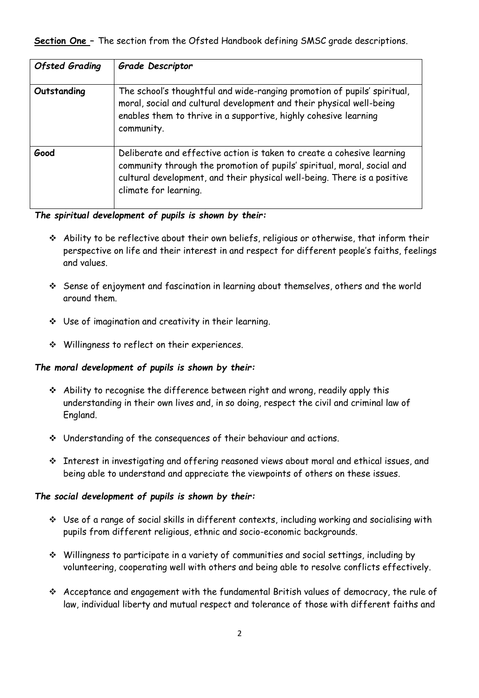**Section One –** The section from the Ofsted Handbook defining SMSC grade descriptions.

| <b>Ofsted Grading</b> | Grade Descriptor                                                                                                                                                                                                                                       |
|-----------------------|--------------------------------------------------------------------------------------------------------------------------------------------------------------------------------------------------------------------------------------------------------|
| Outstanding           | The school's thoughtful and wide-ranging promotion of pupils' spiritual,<br>moral, social and cultural development and their physical well-being<br>enables them to thrive in a supportive, highly cohesive learning<br>community.                     |
| Good                  | Deliberate and effective action is taken to create a cohesive learning<br>community through the promotion of pupils' spiritual, moral, social and<br>cultural development, and their physical well-being. There is a positive<br>climate for learning. |

#### *The spiritual development of pupils is shown by their:*

- ❖ Ability to be reflective about their own beliefs, religious or otherwise, that inform their perspective on life and their interest in and respect for different people's faiths, feelings and values.
- ❖ Sense of enjoyment and fascination in learning about themselves, others and the world around them.
- ❖ Use of imagination and creativity in their learning.
- ❖ Willingness to reflect on their experiences.

#### *The moral development of pupils is shown by their:*

- ❖ Ability to recognise the difference between right and wrong, readily apply this understanding in their own lives and, in so doing, respect the civil and criminal law of England.
- ❖ Understanding of the consequences of their behaviour and actions.
- ❖ Interest in investigating and offering reasoned views about moral and ethical issues, and being able to understand and appreciate the viewpoints of others on these issues.

#### *The social development of pupils is shown by their:*

- ❖ Use of a range of social skills in different contexts, including working and socialising with pupils from different religious, ethnic and socio-economic backgrounds.
- ❖ Willingness to participate in a variety of communities and social settings, including by volunteering, cooperating well with others and being able to resolve conflicts effectively.
- ❖ Acceptance and engagement with the fundamental British values of democracy, the rule of law, individual liberty and mutual respect and tolerance of those with different faiths and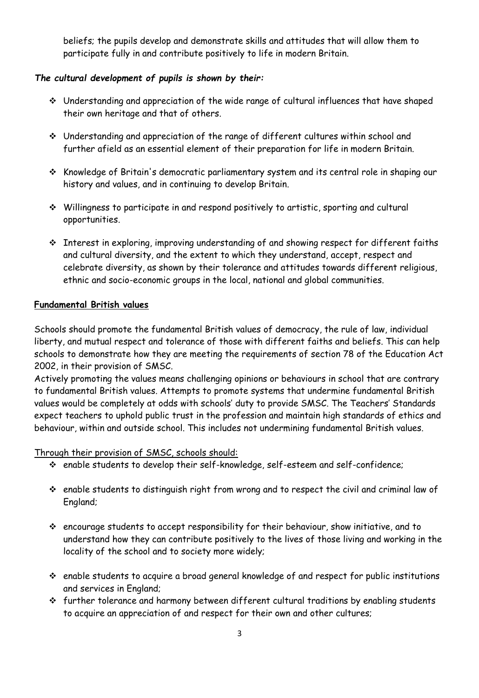beliefs; the pupils develop and demonstrate skills and attitudes that will allow them to participate fully in and contribute positively to life in modern Britain.

# *The cultural development of pupils is shown by their:*

- ❖ Understanding and appreciation of the wide range of cultural influences that have shaped their own heritage and that of others.
- ❖ Understanding and appreciation of the range of different cultures within school and further afield as an essential element of their preparation for life in modern Britain.
- ❖ Knowledge of Britain's democratic parliamentary system and its central role in shaping our history and values, and in continuing to develop Britain.
- ❖ Willingness to participate in and respond positively to artistic, sporting and cultural opportunities.
- ❖ Interest in exploring, improving understanding of and showing respect for different faiths and cultural diversity, and the extent to which they understand, accept, respect and celebrate diversity, as shown by their tolerance and attitudes towards different religious, ethnic and socio-economic groups in the local, national and global communities.

### **Fundamental British values**

Schools should promote the fundamental British values of democracy, the rule of law, individual liberty, and mutual respect and tolerance of those with different faiths and beliefs. This can help schools to demonstrate how they are meeting the requirements of section 78 of the Education Act 2002, in their provision of SMSC.

Actively promoting the values means challenging opinions or behaviours in school that are contrary to fundamental British values. Attempts to promote systems that undermine fundamental British values would be completely at odds with schools' duty to provide SMSC. The Teachers' Standards expect teachers to uphold public trust in the profession and maintain high standards of ethics and behaviour, within and outside school. This includes not undermining fundamental British values.

Through their provision of SMSC, schools should:

- ❖ enable students to develop their self-knowledge, self-esteem and self-confidence;
- ❖ enable students to distinguish right from wrong and to respect the civil and criminal law of England;
- ❖ encourage students to accept responsibility for their behaviour, show initiative, and to understand how they can contribute positively to the lives of those living and working in the locality of the school and to society more widely;
- ❖ enable students to acquire a broad general knowledge of and respect for public institutions and services in England;
- ❖ further tolerance and harmony between different cultural traditions by enabling students to acquire an appreciation of and respect for their own and other cultures;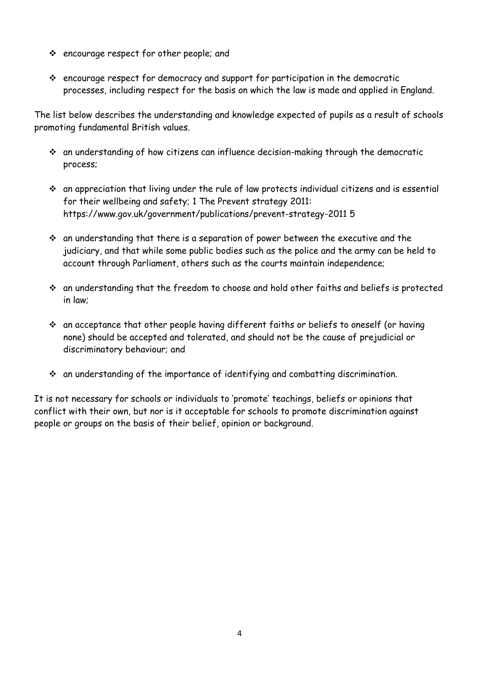- ❖ encourage respect for other people; and
- ❖ encourage respect for democracy and support for participation in the democratic processes, including respect for the basis on which the law is made and applied in England.

The list below describes the understanding and knowledge expected of pupils as a result of schools promoting fundamental British values.

- ❖ an understanding of how citizens can influence decision-making through the democratic process;
- ❖ an appreciation that living under the rule of law protects individual citizens and is essential for their wellbeing and safety; 1 The Prevent strategy 2011: https://www.gov.uk/government/publications/prevent-strategy-2011 5
- ❖ an understanding that there is a separation of power between the executive and the judiciary, and that while some public bodies such as the police and the army can be held to account through Parliament, others such as the courts maintain independence;
- ❖ an understanding that the freedom to choose and hold other faiths and beliefs is protected in law;
- ❖ an acceptance that other people having different faiths or beliefs to oneself (or having none) should be accepted and tolerated, and should not be the cause of prejudicial or discriminatory behaviour; and
- ❖ an understanding of the importance of identifying and combatting discrimination.

It is not necessary for schools or individuals to 'promote' teachings, beliefs or opinions that conflict with their own, but nor is it acceptable for schools to promote discrimination against people or groups on the basis of their belief, opinion or background.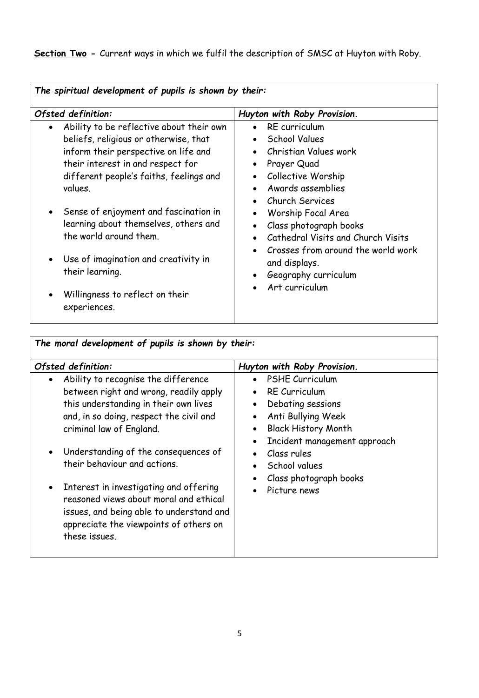| The spiritual development of pupils is shown by their:                                                                                                                                                                                                                                                                                                                                                                                                                                             |                                                                                                                                                                                                                                                                                                                                         |  |  |
|----------------------------------------------------------------------------------------------------------------------------------------------------------------------------------------------------------------------------------------------------------------------------------------------------------------------------------------------------------------------------------------------------------------------------------------------------------------------------------------------------|-----------------------------------------------------------------------------------------------------------------------------------------------------------------------------------------------------------------------------------------------------------------------------------------------------------------------------------------|--|--|
| Ofsted definition:                                                                                                                                                                                                                                                                                                                                                                                                                                                                                 | Huyton with Roby Provision.                                                                                                                                                                                                                                                                                                             |  |  |
| Ability to be reflective about their own<br>$\bullet$<br>beliefs, religious or otherwise, that<br>inform their perspective on life and<br>their interest in and respect for<br>different people's faiths, feelings and<br>values.<br>Sense of enjoyment and fascination in<br>$\bullet$<br>learning about themselves, others and<br>the world around them.<br>Use of imagination and creativity in<br>$\bullet$<br>their learning.<br>Willingness to reflect on their<br>$\bullet$<br>experiences. | $\bullet$ RE curriculum<br>• School Values<br>Christian Values work<br>Prayer Quad<br>Collective Worship<br>Awards assemblies<br>Church Services<br>Worship Focal Area<br>Class photograph books<br>Cathedral Visits and Church Visits<br>Crosses from around the world work<br>and displays.<br>Geography curriculum<br>Art curriculum |  |  |

| The moral development of pupils is shown by their:                                                                                                                                                                                                                                                                                                                                                                                                                                                      |                                                                                                                                                                                                                                                |  |  |  |
|---------------------------------------------------------------------------------------------------------------------------------------------------------------------------------------------------------------------------------------------------------------------------------------------------------------------------------------------------------------------------------------------------------------------------------------------------------------------------------------------------------|------------------------------------------------------------------------------------------------------------------------------------------------------------------------------------------------------------------------------------------------|--|--|--|
| Ofsted definition:                                                                                                                                                                                                                                                                                                                                                                                                                                                                                      | Huyton with Roby Provision.                                                                                                                                                                                                                    |  |  |  |
| Ability to recognise the difference<br>$\bullet$<br>between right and wrong, readily apply<br>this understanding in their own lives<br>and, in so doing, respect the civil and<br>criminal law of England.<br>Understanding of the consequences of<br>$\bullet$<br>their behaviour and actions.<br>Interest in investigating and offering<br>$\bullet$<br>reasoned views about moral and ethical<br>issues, and being able to understand and<br>appreciate the viewpoints of others on<br>these issues. | <b>PSHE Curriculum</b><br><b>RE Curriculum</b><br>Debating sessions<br>Anti Bullying Week<br><b>Black History Month</b><br>Incident management approach<br>Class rules<br>School values<br>Class photograph books<br>$\bullet$<br>Picture news |  |  |  |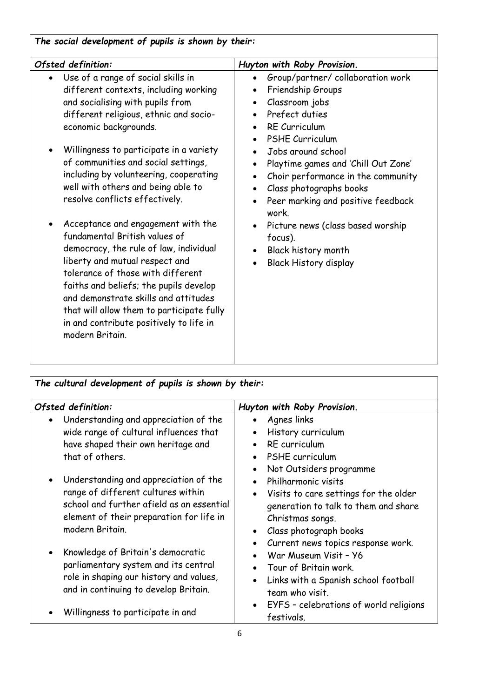| The social development of pupils is shown by their:                                                                                                                                                                                                                                                                                                                                                                                                                                                                                                                                                                                                                                                                                                                                      |                                                                                                                                                                                                                                                                                                                                                                                                                                                                         |  |  |  |
|------------------------------------------------------------------------------------------------------------------------------------------------------------------------------------------------------------------------------------------------------------------------------------------------------------------------------------------------------------------------------------------------------------------------------------------------------------------------------------------------------------------------------------------------------------------------------------------------------------------------------------------------------------------------------------------------------------------------------------------------------------------------------------------|-------------------------------------------------------------------------------------------------------------------------------------------------------------------------------------------------------------------------------------------------------------------------------------------------------------------------------------------------------------------------------------------------------------------------------------------------------------------------|--|--|--|
| Ofsted definition:                                                                                                                                                                                                                                                                                                                                                                                                                                                                                                                                                                                                                                                                                                                                                                       | Huyton with Roby Provision.                                                                                                                                                                                                                                                                                                                                                                                                                                             |  |  |  |
| Use of a range of social skills in<br>$\bullet$<br>different contexts, including working<br>and socialising with pupils from<br>different religious, ethnic and socio-<br>economic backgrounds.<br>Willingness to participate in a variety<br>of communities and social settings,<br>including by volunteering, cooperating<br>well with others and being able to<br>resolve conflicts effectively.<br>Acceptance and engagement with the<br>fundamental British values of<br>democracy, the rule of law, individual<br>liberty and mutual respect and<br>tolerance of those with different<br>faiths and beliefs; the pupils develop<br>and demonstrate skills and attitudes<br>that will allow them to participate fully<br>in and contribute positively to life in<br>modern Britain. | Group/partner/ collaboration work<br>Friendship Groups<br>Classroom jobs<br>Prefect duties<br><b>RE Curriculum</b><br><b>PSHE Curriculum</b><br>$\bullet$<br>Jobs around school<br>$\bullet$<br>Playtime games and 'Chill Out Zone'<br>Choir performance in the community<br>Class photographs books<br>Peer marking and positive feedback<br>$\bullet$<br>work.<br>Picture news (class based worship<br>focus).<br>Black history month<br><b>Black History display</b> |  |  |  |

| The cultural development of pupils is shown by their:                                                                                                                                   |                                                                                                                                                                                                                      |  |
|-----------------------------------------------------------------------------------------------------------------------------------------------------------------------------------------|----------------------------------------------------------------------------------------------------------------------------------------------------------------------------------------------------------------------|--|
| Ofsted definition:                                                                                                                                                                      | Huyton with Roby Provision.                                                                                                                                                                                          |  |
| Understanding and appreciation of the<br>wide range of cultural influences that<br>have shaped their own heritage and<br>that of others.                                                | Agnes links<br>$\bullet$<br>History curriculum<br>$\bullet$<br><b>RE</b> curriculum<br>$\bullet$<br><b>PSHE</b> curriculum<br>$\bullet$                                                                              |  |
| Understanding and appreciation of the<br>range of different cultures within<br>school and further afield as an essential<br>element of their preparation for life in<br>modern Britain. | Not Outsiders programme<br>Philharmonic visits<br>$\bullet$<br>Visits to care settings for the older<br>$\bullet$<br>generation to talk to them and share<br>Christmas songs.<br>Class photograph books<br>$\bullet$ |  |
| Knowledge of Britain's democratic<br>parliamentary system and its central<br>role in shaping our history and values,<br>and in continuing to develop Britain.                           | Current news topics response work.<br>War Museum Visit - Y6<br>Tour of Britain work.<br>Links with a Spanish school football<br>$\bullet$<br>team who visit.                                                         |  |
| Willingness to participate in and                                                                                                                                                       | EYFS - celebrations of world religions<br>$\bullet$<br>festivals.                                                                                                                                                    |  |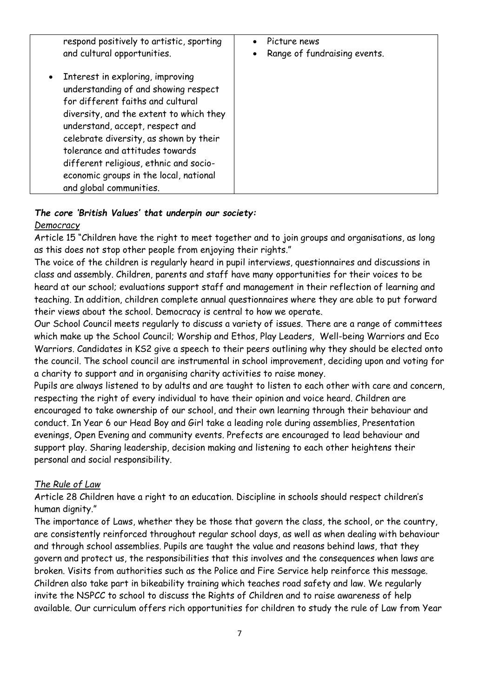| respond positively to artistic, sporting<br>and cultural opportunities.                                                                                                                                                                                                                                                                                                                 | Picture news<br>Range of fundraising events.<br>$\bullet$ |
|-----------------------------------------------------------------------------------------------------------------------------------------------------------------------------------------------------------------------------------------------------------------------------------------------------------------------------------------------------------------------------------------|-----------------------------------------------------------|
| Interest in exploring, improving<br>understanding of and showing respect<br>for different faiths and cultural<br>diversity, and the extent to which they<br>understand, accept, respect and<br>celebrate diversity, as shown by their<br>tolerance and attitudes towards<br>different religious, ethnic and socio-<br>economic groups in the local, national<br>and global communities. |                                                           |

### *The core 'British Values' that underpin our society: Democracy*

Article 15 "Children have the right to meet together and to join groups and organisations, as long as this does not stop other people from enjoying their rights."

The voice of the children is regularly heard in pupil interviews, questionnaires and discussions in class and assembly. Children, parents and staff have many opportunities for their voices to be heard at our school; evaluations support staff and management in their reflection of learning and teaching. In addition, children complete annual questionnaires where they are able to put forward their views about the school. Democracy is central to how we operate.

Our School Council meets regularly to discuss a variety of issues. There are a range of committees which make up the School Council; Worship and Ethos, Play Leaders, Well-being Warriors and Eco Warriors. Candidates in KS2 give a speech to their peers outlining why they should be elected onto the council. The school council are instrumental in school improvement, deciding upon and voting for a charity to support and in organising charity activities to raise money.

Pupils are always listened to by adults and are taught to listen to each other with care and concern, respecting the right of every individual to have their opinion and voice heard. Children are encouraged to take ownership of our school, and their own learning through their behaviour and conduct. In Year 6 our Head Boy and Girl take a leading role during assemblies, Presentation evenings, Open Evening and community events. Prefects are encouraged to lead behaviour and support play. Sharing leadership, decision making and listening to each other heightens their personal and social responsibility.

# *The Rule of Law*

Article 28 Children have a right to an education. Discipline in schools should respect children's human dignity."

The importance of Laws, whether they be those that govern the class, the school, or the country, are consistently reinforced throughout regular school days, as well as when dealing with behaviour and through school assemblies. Pupils are taught the value and reasons behind laws, that they govern and protect us, the responsibilities that this involves and the consequences when laws are broken. Visits from authorities such as the Police and Fire Service help reinforce this message. Children also take part in bikeability training which teaches road safety and law. We regularly invite the NSPCC to school to discuss the Rights of Children and to raise awareness of help available. Our curriculum offers rich opportunities for children to study the rule of Law from Year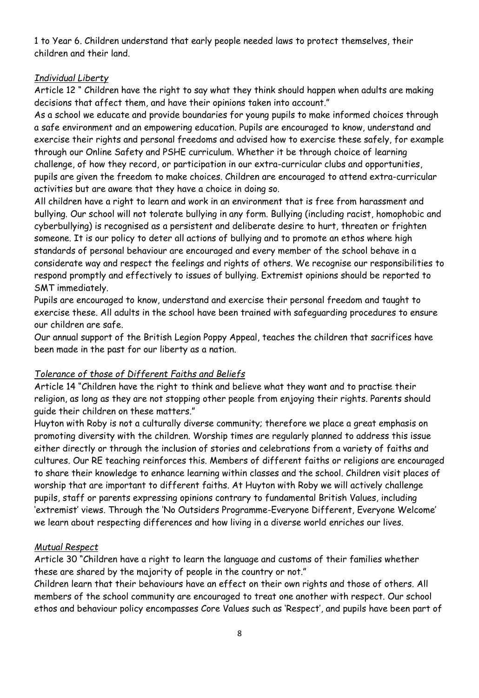1 to Year 6. Children understand that early people needed laws to protect themselves, their children and their land.

### *Individual Liberty*

Article 12 " Children have the right to say what they think should happen when adults are making decisions that affect them, and have their opinions taken into account."

As a school we educate and provide boundaries for young pupils to make informed choices through a safe environment and an empowering education. Pupils are encouraged to know, understand and exercise their rights and personal freedoms and advised how to exercise these safely, for example through our Online Safety and PSHE curriculum. Whether it be through choice of learning challenge, of how they record, or participation in our extra-curricular clubs and opportunities, pupils are given the freedom to make choices. Children are encouraged to attend extra-curricular activities but are aware that they have a choice in doing so.

All children have a right to learn and work in an environment that is free from harassment and bullying. Our school will not tolerate bullying in any form. Bullying (including racist, homophobic and cyberbullying) is recognised as a persistent and deliberate desire to hurt, threaten or frighten someone. It is our policy to deter all actions of bullying and to promote an ethos where high standards of personal behaviour are encouraged and every member of the school behave in a considerate way and respect the feelings and rights of others. We recognise our responsibilities to respond promptly and effectively to issues of bullying. Extremist opinions should be reported to SMT immediately.

Pupils are encouraged to know, understand and exercise their personal freedom and taught to exercise these. All adults in the school have been trained with safeguarding procedures to ensure our children are safe.

Our annual support of the British Legion Poppy Appeal, teaches the children that sacrifices have been made in the past for our liberty as a nation.

#### *Tolerance of those of Different Faiths and Beliefs*

Article 14 "Children have the right to think and believe what they want and to practise their religion, as long as they are not stopping other people from enjoying their rights. Parents should guide their children on these matters."

Huyton with Roby is not a culturally diverse community; therefore we place a great emphasis on promoting diversity with the children. Worship times are regularly planned to address this issue either directly or through the inclusion of stories and celebrations from a variety of faiths and cultures. Our RE teaching reinforces this. Members of different faiths or religions are encouraged to share their knowledge to enhance learning within classes and the school. Children visit places of worship that are important to different faiths. At Huyton with Roby we will actively challenge pupils, staff or parents expressing opinions contrary to fundamental British Values, including 'extremist' views. Through the 'No Outsiders Programme-Everyone Different, Everyone Welcome' we learn about respecting differences and how living in a diverse world enriches our lives.

#### *Mutual Respect*

Article 30 "Children have a right to learn the language and customs of their families whether these are shared by the majority of people in the country or not."

Children learn that their behaviours have an effect on their own rights and those of others. All members of the school community are encouraged to treat one another with respect. Our school ethos and behaviour policy encompasses Core Values such as 'Respect', and pupils have been part of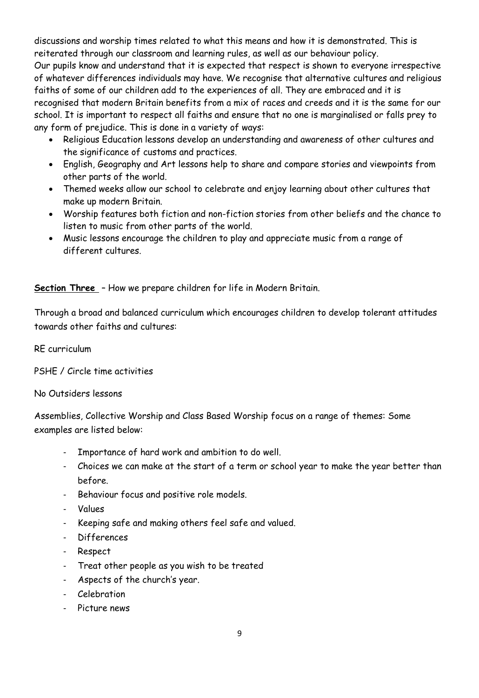discussions and worship times related to what this means and how it is demonstrated. This is reiterated through our classroom and learning rules, as well as our behaviour policy.

Our pupils know and understand that it is expected that respect is shown to everyone irrespective of whatever differences individuals may have. We recognise that alternative cultures and religious faiths of some of our children add to the experiences of all. They are embraced and it is recognised that modern Britain benefits from a mix of races and creeds and it is the same for our school. It is important to respect all faiths and ensure that no one is marginalised or falls prey to any form of prejudice. This is done in a variety of ways:

- Religious Education lessons develop an understanding and awareness of other cultures and the significance of customs and practices.
- English, Geography and Art lessons help to share and compare stories and viewpoints from other parts of the world.
- Themed weeks allow our school to celebrate and enjoy learning about other cultures that make up modern Britain.
- Worship features both fiction and non-fiction stories from other beliefs and the chance to listen to music from other parts of the world.
- Music lessons encourage the children to play and appreciate music from a range of different cultures.

# **Section Three** – How we prepare children for life in Modern Britain.

Through a broad and balanced curriculum which encourages children to develop tolerant attitudes towards other faiths and cultures:

RE curriculum

PSHE / Circle time activities

No Outsiders lessons

Assemblies, Collective Worship and Class Based Worship focus on a range of themes: Some examples are listed below:

- Importance of hard work and ambition to do well.
- Choices we can make at the start of a term or school year to make the year better than before.
- Behaviour focus and positive role models.
- Values
- Keeping safe and making others feel safe and valued.
- Differences
- Respect
- Treat other people as you wish to be treated
- Aspects of the church's year.
- **Celebration**
- Picture news